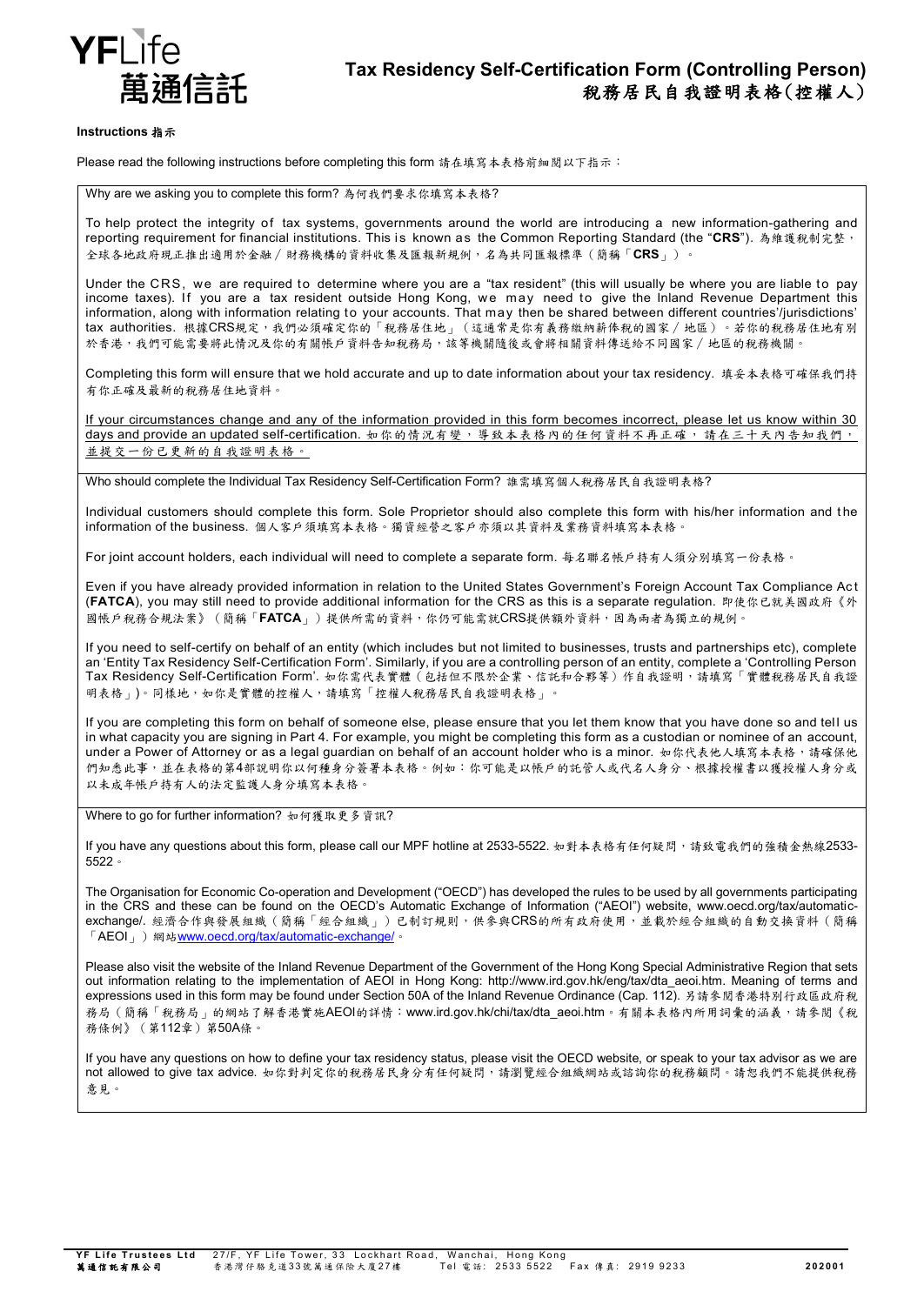

#### **Instructions** 指示

Please read the following instructions before completing this form 請在填寫本表格前細閱以下指示:

Why are we asking you to complete this form? 為何我們要求你填寫本表格?

To help protect the integrity of tax systems, governments around the world are introducing a new information-gathering and reporting requirement for financial institutions. This is known as the Common Reporting Standard (the "**CRS**"). 為維護稅制完整, 全球各地政府現正推出適用於金融∕財務機構的資料收集及匯報新規例,名為共同匯報標準(簡稱「**CRS**」)。

Under the CRS, we are required to determine where you are a "tax resident" (this will usually be where you are liable to pay income taxes). If you are a tax resident outside Hong Kong, we may need to give the Inland Revenue Department this information, along with information relating to your accounts. That may then be shared between different countries'/jurisdictions' tax authorities. 根據CRS規定,我們必須確定你的「稅務居住地」(這通常是你有義務繳納薪俸稅的國家∕地區)。若你的稅務居住地有別 於香港,我們可能需要將此情況及你的有關帳戶資料告知稅務局,該等機關隨後或會將相關資料傳送給不同國家/地區的稅務機關。

Completing this form will ensure that we hold accurate and up to date information about your tax residency. 填妥本表格可確保我們持 有你正確及最新的稅務居住地資料。

If your circumstances change and any of the information provided in this form becomes incorrect, please let us know within 30 days and provide an updated self-certification. 如你的情況有變,導致本表格內的任何資料不再正確,請在三十天內告知我們, 並提交一份已更新的自我證明表格。

Who should complete the Individual Tax Residency Self-Certification Form? 誰需填寫個人稅務居民自我證明表格?

Individual customers should complete this form. Sole Proprietor should also complete this form with his/her information and t he information of the business. 個人客戶須填寫本表格。獨資經營之客戶亦須以其資料及業務資料填寫本表格。

For joint account holders, each individual will need to complete a separate form. 每名聯名帳戶持有人須分別填寫一份表格。

Even if you have already provided information in relation to the United States Government's Foreign Account Tax Compliance Ac t (**FATCA**), you may still need to provide additional information for the CRS as this is a separate regulation. 即使你已就美國政府《外 國帳戶稅務合規法案》(簡稱「**FATCA**」)提供所需的資料,你仍可能需就CRS提供額外資料,因為兩者為獨立的規例。

If you need to self-certify on behalf of an entity (which includes but not limited to businesses, trusts and partnerships etc), complete an 'Entity Tax Residency Self-Certification Form'. Similarly, if you are a controlling person of an entity, complete a 'Controlling Person Tax Residency Self-Certification Form'. 如你需代表實體(包括但不限於企業、信託和合夥等)作自我證明,請填寫「實體稅務居民自我證 明表格」)。同樣地,如你是實體的控權人,請填寫「控權人稅務居民自我證明表格」。

If you are completing this form on behalf of someone else, please ensure that you let them know that you have done so and tel l us in what capacity you are signing in Part 4. For example, you might be completing this form as a custodian or nominee of an account, under a Power of Attorney or as a legal guardian on behalf of an account holder who is a minor. 如你代表他人填寫本表格,請確保他 們知悉此事,並在表格的第4部說明你以何種身分簽署本表格。例如:你可能是以帳戶的託管人或代名人身分、根據授權書以獲授權人身分或 以未成年帳戶持有人的法定監護人身分填寫本表格

Where to go for further information? 如何獲取更多資訊?

If you have any questions about this form, please call our MPF hotline at 2533-5522. 如對本表格有任何疑問,請致電我們的強積金熱線2533-5522。

The Organisation for Economic Co-operation and Development ("OECD") has developed the rules to be used by all governments participating in the CRS and these can be found on the OECD's Automatic Exchange of Information ("AEOI") website, www.oecd.org/tax/automaticexchange/. 經濟合作與發展組織(簡稱「經合組織」)已制訂規則,供參與CRS的所有政府使用,並載於經合組織的自動交換資料(簡稱 「AEOI」)網站[www.oecd.org/tax/automatic-exchange/](http://www.oecd.org/tax/automatic-exchange/)。

Please also visit the website of the Inland Revenue Department of the Government of the Hong Kong Special Administrative Region that sets out information relating to the implementation of AEOI in Hong Kong: http://www.ird.gov.hk/eng/tax/dta\_aeoi.htm. Meaning of terms and expressions used in this form may be found under Section 50A of the Inland Revenue Ordinance (Cap. 112). 另請參閱香港特別行政區政府稅 務局(簡稱「稅務局」的網站了解香港實施AEOI的詳情:www.ird.gov.hk/chi/tax/dta\_aeoi.htm。有關本表格內所用詞彙的涵義,請參閱《稅 務條例》(第112章)第50A條。

If you have any questions on how to define your tax residency status, please visit the OECD website, or speak to your tax advisor as we are not allowed to give tax advice. 如你對判定你的稅務居民身分有任何疑問,請瀏覽經合組織網站或諮詢你的稅務顧問。請恕我們不能提供稅務 意見。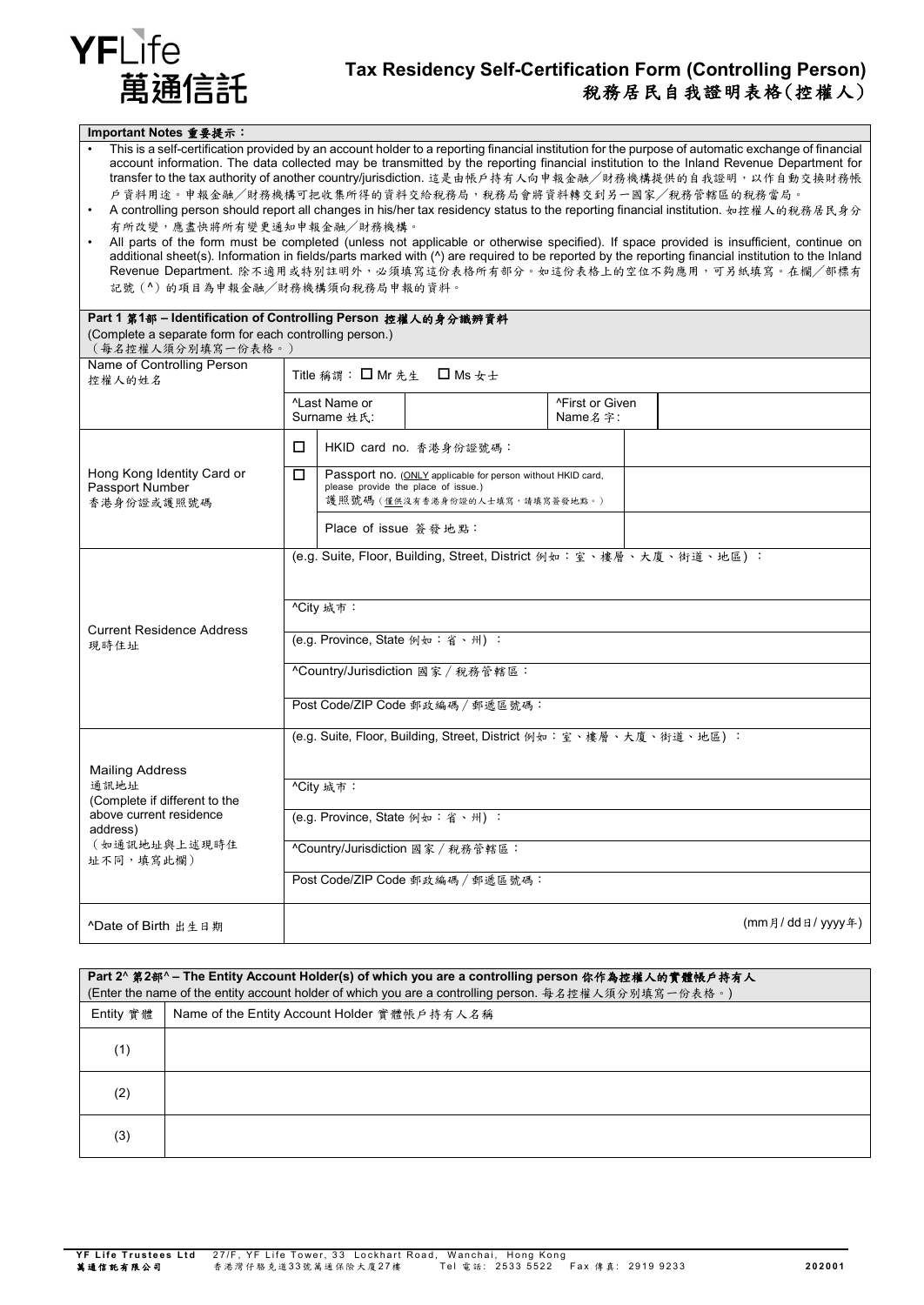

| Important Notes 重要提示:                                                                                                                                                                                                                                                                                                                                                                                                                                                                                                                                                                                                                                                                                                                                                                                                                                                                                                                                                                                                                       |                                                                                                         |                           |                                  |                 |  |                 |
|---------------------------------------------------------------------------------------------------------------------------------------------------------------------------------------------------------------------------------------------------------------------------------------------------------------------------------------------------------------------------------------------------------------------------------------------------------------------------------------------------------------------------------------------------------------------------------------------------------------------------------------------------------------------------------------------------------------------------------------------------------------------------------------------------------------------------------------------------------------------------------------------------------------------------------------------------------------------------------------------------------------------------------------------|---------------------------------------------------------------------------------------------------------|---------------------------|----------------------------------|-----------------|--|-----------------|
| This is a self-certification provided by an account holder to a reporting financial institution for the purpose of automatic exchange of financial<br>account information. The data collected may be transmitted by the reporting financial institution to the Inland Revenue Department for<br>transfer to the tax authority of another country/jurisdiction. 這是由帳戶持有人向申報金融/財務機構提供的自我證明,以作自動交換財務帳<br>戶資料用途。申報金融/財務機構可把收集所得的資料交給稅務局,稅務局會將資料轉交到另一國家/稅務管轄區的稅務當局。<br>A controlling person should report all changes in his/her tax residency status to the reporting financial institution. 如控權人的稅務居民身分<br>有所改變,應盡快將所有變更通知申報金融/財務機構。<br>All parts of the form must be completed (unless not applicable or otherwise specified). If space provided is insufficient, continue on<br>additional sheet(s). Information in fields/parts marked with (^) are required to be reported by the reporting financial institution to the Inland<br>Revenue Department. 除不適用或特別註明外,必須填寫這份表格所有部分。如這份表格上的空位不夠應用,可另紙填寫。在欄/部標有<br>記號(^)的項目為申報金融/財務機構須向稅務局申報的資料。 |                                                                                                         |                           |                                  |                 |  |                 |
| Part 1 第1部 - Identification of Controlling Person 控權人的身分識辨資料                                                                                                                                                                                                                                                                                                                                                                                                                                                                                                                                                                                                                                                                                                                                                                                                                                                                                                                                                                                |                                                                                                         |                           |                                  |                 |  |                 |
| (Complete a separate form for each controlling person.)<br>(每名控權人須分別填寫一份表格。)                                                                                                                                                                                                                                                                                                                                                                                                                                                                                                                                                                                                                                                                                                                                                                                                                                                                                                                                                                |                                                                                                         |                           |                                  |                 |  |                 |
| Name of Controlling Person                                                                                                                                                                                                                                                                                                                                                                                                                                                                                                                                                                                                                                                                                                                                                                                                                                                                                                                                                                                                                  |                                                                                                         |                           |                                  |                 |  |                 |
| 控權人的姓名                                                                                                                                                                                                                                                                                                                                                                                                                                                                                                                                                                                                                                                                                                                                                                                                                                                                                                                                                                                                                                      |                                                                                                         |                           | Title 稱謂: □ Mr 先生 □ Ms 女士        |                 |  |                 |
|                                                                                                                                                                                                                                                                                                                                                                                                                                                                                                                                                                                                                                                                                                                                                                                                                                                                                                                                                                                                                                             |                                                                                                         | <sup>^</sup> Last Name or |                                  | ^First or Given |  |                 |
|                                                                                                                                                                                                                                                                                                                                                                                                                                                                                                                                                                                                                                                                                                                                                                                                                                                                                                                                                                                                                                             | Surname 姓氏:                                                                                             |                           |                                  | Name 名字:        |  |                 |
|                                                                                                                                                                                                                                                                                                                                                                                                                                                                                                                                                                                                                                                                                                                                                                                                                                                                                                                                                                                                                                             | □                                                                                                       |                           | HKID card no. 香港身份證號碼:           |                 |  |                 |
| Hong Kong Identity Card or<br>Passport Number                                                                                                                                                                                                                                                                                                                                                                                                                                                                                                                                                                                                                                                                                                                                                                                                                                                                                                                                                                                               | □<br>Passport no. (ONLY applicable for person without HKID card,<br>please provide the place of issue.) |                           |                                  |                 |  |                 |
| 香港身份證或護照號碼                                                                                                                                                                                                                                                                                                                                                                                                                                                                                                                                                                                                                                                                                                                                                                                                                                                                                                                                                                                                                                  | 護照號碼 (僅供沒有香港身份證的人士填寫,請填寫簽發地點。)                                                                          |                           |                                  |                 |  |                 |
|                                                                                                                                                                                                                                                                                                                                                                                                                                                                                                                                                                                                                                                                                                                                                                                                                                                                                                                                                                                                                                             |                                                                                                         | Place of issue 簽發地點:      |                                  |                 |  |                 |
| <b>Current Residence Address</b><br>現時住址                                                                                                                                                                                                                                                                                                                                                                                                                                                                                                                                                                                                                                                                                                                                                                                                                                                                                                                                                                                                    | (e.g. Suite, Floor, Building, Street, District 例如:室、樓層、大廈、街道、地區):                                       |                           |                                  |                 |  |                 |
|                                                                                                                                                                                                                                                                                                                                                                                                                                                                                                                                                                                                                                                                                                                                                                                                                                                                                                                                                                                                                                             | ^City 城市:                                                                                               |                           |                                  |                 |  |                 |
|                                                                                                                                                                                                                                                                                                                                                                                                                                                                                                                                                                                                                                                                                                                                                                                                                                                                                                                                                                                                                                             | (e.g. Province, State 例如:省、州):                                                                          |                           |                                  |                 |  |                 |
|                                                                                                                                                                                                                                                                                                                                                                                                                                                                                                                                                                                                                                                                                                                                                                                                                                                                                                                                                                                                                                             | ^Country/Jurisdiction 國家 / 稅務管轄區:                                                                       |                           |                                  |                 |  |                 |
|                                                                                                                                                                                                                                                                                                                                                                                                                                                                                                                                                                                                                                                                                                                                                                                                                                                                                                                                                                                                                                             | Post Code/ZIP Code 郵政編碼 / 郵遞區號碼:                                                                        |                           |                                  |                 |  |                 |
|                                                                                                                                                                                                                                                                                                                                                                                                                                                                                                                                                                                                                                                                                                                                                                                                                                                                                                                                                                                                                                             | (e.g. Suite, Floor, Building, Street, District 例如:室、樓層、大廈、街道、地區):                                       |                           |                                  |                 |  |                 |
| <b>Mailing Address</b>                                                                                                                                                                                                                                                                                                                                                                                                                                                                                                                                                                                                                                                                                                                                                                                                                                                                                                                                                                                                                      |                                                                                                         |                           |                                  |                 |  |                 |
| 通訊地址<br>(Complete if different to the                                                                                                                                                                                                                                                                                                                                                                                                                                                                                                                                                                                                                                                                                                                                                                                                                                                                                                                                                                                                       | ^City 城市:                                                                                               |                           |                                  |                 |  |                 |
| above current residence<br>address)<br>(如通訊地址與上述現時住<br>址不同,填寫此欄)                                                                                                                                                                                                                                                                                                                                                                                                                                                                                                                                                                                                                                                                                                                                                                                                                                                                                                                                                                            | (e.g. Province, State 例如:省、州):                                                                          |                           |                                  |                 |  |                 |
|                                                                                                                                                                                                                                                                                                                                                                                                                                                                                                                                                                                                                                                                                                                                                                                                                                                                                                                                                                                                                                             | ^Country/Jurisdiction 國家 / 稅務管轄區:                                                                       |                           |                                  |                 |  |                 |
|                                                                                                                                                                                                                                                                                                                                                                                                                                                                                                                                                                                                                                                                                                                                                                                                                                                                                                                                                                                                                                             |                                                                                                         |                           | Post Code/ZIP Code 郵政編碼 / 郵遞區號碼: |                 |  |                 |
| ^Date of Birth 出生日期                                                                                                                                                                                                                                                                                                                                                                                                                                                                                                                                                                                                                                                                                                                                                                                                                                                                                                                                                                                                                         |                                                                                                         |                           |                                  |                 |  | (mm月/dd日/yyyy年) |

| Part 2^ 第2部^-The Entity Account Holder(s) of which you are a controlling person 你作為控權人的實體帳戶持有人<br>(Enter the name of the entity account holder of which you are a controlling person. 每名控權人須分別填寫一份表格。) |                                             |  |  |
|--------------------------------------------------------------------------------------------------------------------------------------------------------------------------------------------------------|---------------------------------------------|--|--|
| Entity 實體                                                                                                                                                                                              | Name of the Entity Account Holder 實體帳戶持有人名稱 |  |  |
| (1)                                                                                                                                                                                                    |                                             |  |  |
| (2)                                                                                                                                                                                                    |                                             |  |  |
| (3)                                                                                                                                                                                                    |                                             |  |  |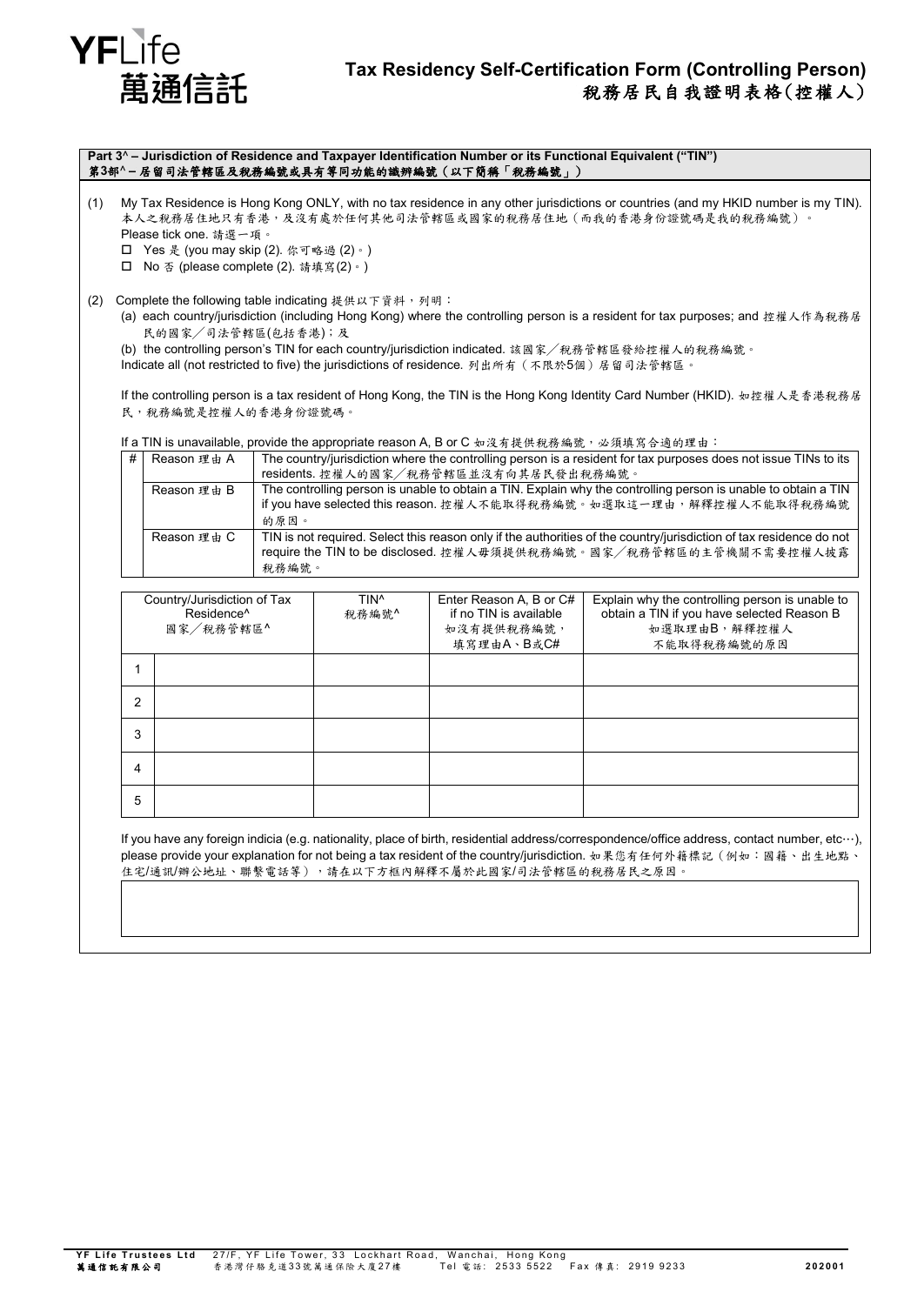

### **Tax Residency Self-Certification Form (Controlling Person)** 稅務居民自我證明表格(控權人)

**Part 3**^ **– Jurisdiction of Residence and Taxpayer Identification Number or its Functional Equivalent ("TIN")** 第**3**部^ **–** 居留司法管轄區及稅務編號或具有等同功能的識辨編號(以下簡稱「稅務編號」)

(1) My Tax Residence is Hong Kong ONLY, with no tax residence in any other jurisdictions or countries (and my HKID number is my TIN). 本人之稅務居住地只有香港,及沒有處於任何其他司法管轄區或國家的稅務居住地(而我的香港身份證號碼是我的稅務編號)。 Please tick one. 請選一項。

Yes 是 (you may skip (2). 你可略過 (2)。)

No 否 (please complete (2). 請填寫(2)。)

(2) Complete the following table indicating 提供以下資料,列明:

(a) each country/jurisdiction (including Hong Kong) where the controlling person is a resident for tax purposes; and 控權人作為稅務居 民的國家╱司法管轄區(包括香港);及

(b) the controlling person's TIN for each country/jurisdiction indicated. 該國家╱稅務管轄區發給控權人的稅務編號。 Indicate all (not restricted to five) the jurisdictions of residence. 列出所有 (不限於5個)居留司法管轄區。

If the controlling person is a tax resident of Hong Kong, the TIN is the Hong Kong Identity Card Number (HKID). 如控權人是香港稅務居 民,稅務編號是控權人的香港身份證號碼。

If a TIN is unavailable, provide the appropriate reason A, B or C 如沒有提供稅務編號,,必須填寫合適的理由:

| # | Reason 理由 A                    | The country/jurisdiction where the controlling person is a resident for tax purposes does not issue TINs to its                                                                                    |
|---|--------------------------------|----------------------------------------------------------------------------------------------------------------------------------------------------------------------------------------------------|
|   |                                | residents. 控權人的國家/稅務管轄區並沒有向其居民發出稅務編號。                                                                                                                                                              |
|   | Reason 理由 B                    | The controlling person is unable to obtain a TIN. Explain why the controlling person is unable to obtain a TIN<br>if you have selected this reason. 控權人不能取得稅務編號。如選取這一理由,解釋控權人不能取得稅務編號              |
|   |                                | 的原因。                                                                                                                                                                                               |
|   | Reason $\mathbb{H}$ $\oplus$ C | TIN is not required. Select this reason only if the authorities of the country/jurisdiction of tax residence do not<br>require the TIN to be disclosed. 控權人毋須提供稅務編號。國家/稅務管轄區的主管機關不需要控權人披露<br>稅務編號。 |

| Country/Jurisdiction of Tax<br>Residence <sup>^</sup><br>國家/稅務管轄區^ |  | TIN <sup>^</sup><br>稅務編號^ | Enter Reason A, B or C#<br>if no TIN is available<br>如沒有提供稅務編號,<br>填寫理由A、B或C# | Explain why the controlling person is unable to<br>obtain a TIN if you have selected Reason B<br>如選取理由B,解釋控權人<br>不能取得税務編號的原因 |
|--------------------------------------------------------------------|--|---------------------------|-------------------------------------------------------------------------------|------------------------------------------------------------------------------------------------------------------------------|
|                                                                    |  |                           |                                                                               |                                                                                                                              |
| 2                                                                  |  |                           |                                                                               |                                                                                                                              |
| 3                                                                  |  |                           |                                                                               |                                                                                                                              |
| 4                                                                  |  |                           |                                                                               |                                                                                                                              |
| 5                                                                  |  |                           |                                                                               |                                                                                                                              |

If you have any foreign indicia (e.g. nationality, place of birth, residential address/correspondence/office address, contact number, etc…), please provide your explanation for not being a tax resident of the country/jurisdiction. 如果您有任何外籍標記(例如:國籍、出生地點、 .<br>住宅/通訊/辦公地址、聯繫電話等),請在以下方框內解釋不屬於此國家/司法管轄區的稅務居民之原因。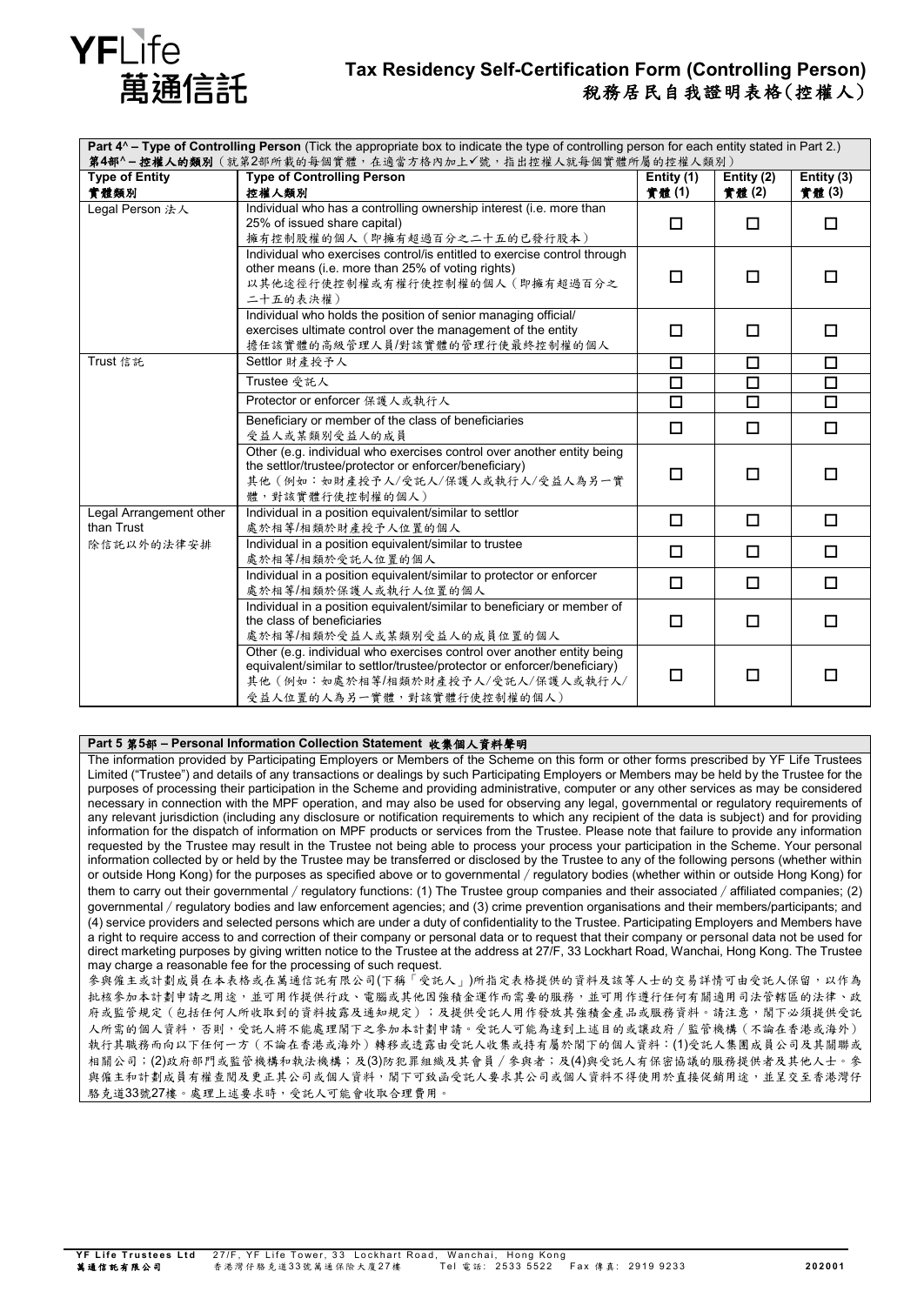

## **Tax Residency Self-Certification Form (Controlling Person)** 稅務居民自我證明表格(控權人)

| Part 4^ - Type of Controlling Person (Tick the appropriate box to indicate the type of controlling person for each entity stated in Part 2.)<br>第4部^-控權人的類別(就第2部所載的每個實體,在適當方格內加上√號,指出控權人就每個實體所屬的控權人類別) |                                                                                                                                                                                                                       |                      |                     |                     |
|--------------------------------------------------------------------------------------------------------------------------------------------------------------------------------------------------------|-----------------------------------------------------------------------------------------------------------------------------------------------------------------------------------------------------------------------|----------------------|---------------------|---------------------|
| <b>Type of Entity</b><br>實體類別                                                                                                                                                                          | <b>Type of Controlling Person</b><br>控權人類別                                                                                                                                                                            | Entity (1)<br>實體 (1) | Entity (2)<br>實體(2) | Entity (3)<br>實體(3) |
| Legal Person 法人                                                                                                                                                                                        | Individual who has a controlling ownership interest (i.e. more than<br>25% of issued share capital)<br>擁有控制股權的個人(即擁有超過百分之二十五的已發行股本)                                                                                   | П                    | □                   | □                   |
|                                                                                                                                                                                                        | Individual who exercises control/is entitled to exercise control through<br>other means (i.e. more than 25% of voting rights)<br>以其他途徑行使控制權或有權行使控制權的個人(即擁有超過百分之<br>二十五的表決權)                                           | $\Box$               | п                   | П                   |
|                                                                                                                                                                                                        | Individual who holds the position of senior managing official/<br>exercises ultimate control over the management of the entity<br>擔任該實體的高級管理人員/對該實體的管理行使最終控制權的個人                                                      | $\Box$               | □                   | □                   |
| Trust 信託                                                                                                                                                                                               | Settlor 財產授予人                                                                                                                                                                                                         | $\Box$               | $\Box$              | $\Box$              |
|                                                                                                                                                                                                        | Trustee 受託人                                                                                                                                                                                                           | $\Box$               | $\Box$              | $\Box$              |
|                                                                                                                                                                                                        | Protector or enforcer 保護人或執行人                                                                                                                                                                                         | $\Box$               | $\Box$              | $\overline{\Box}$   |
|                                                                                                                                                                                                        | Beneficiary or member of the class of beneficiaries<br>受益人或某類別受益人的成員                                                                                                                                                  | $\Box$               | $\Box$              | □                   |
|                                                                                                                                                                                                        | Other (e.g. individual who exercises control over another entity being<br>the settlor/trustee/protector or enforcer/beneficiary)<br>其他(例如:如財產授予人/受託人/保護人或執行人/受益人為另一實<br>體,對該實體行使控制權的個人)                               | $\Box$               | п                   | п                   |
| Legal Arrangement other<br>than Trust                                                                                                                                                                  | Individual in a position equivalent/similar to settlor<br>處於相等/相類於財產授予人位置的個人                                                                                                                                          | $\Box$               | $\Box$              | $\Box$              |
| 除信託以外的法律安排                                                                                                                                                                                             | Individual in a position equivalent/similar to trustee<br>處於相等/相類於受託人位置的個人                                                                                                                                            | □                    | □                   | П                   |
|                                                                                                                                                                                                        | Individual in a position equivalent/similar to protector or enforcer<br>處於相等/相類於保護人或執行人位置的個人                                                                                                                          | $\Box$               | □                   | □                   |
|                                                                                                                                                                                                        | Individual in a position equivalent/similar to beneficiary or member of<br>the class of beneficiaries<br>處於相等/相類於受益人或某類別受益人的成員位置的個人                                                                                   | $\Box$               | п                   | п                   |
|                                                                                                                                                                                                        | Other (e.g. individual who exercises control over another entity being<br>equivalent/similar to settlor/trustee/protector or enforcer/beneficiary)<br>其他(例如:如處於相等/相類於財產授予人/受託人/保護人或執行人/<br>受益人位置的人為另一實體,對該實體行使控制權的個人) | $\Box$               | □                   | П                   |

#### **Part 5** 第**5**部 **– Personal Information Collection Statement** 收集個人資料聲明

The information provided by Participating Employers or Members of the Scheme on this form or other forms prescribed by YF Life Trustees Limited ("Trustee") and details of any transactions or dealings by such Participating Employers or Members may be held by the Trustee for the purposes of processing their participation in the Scheme and providing administrative, computer or any other services as may be considered necessary in connection with the MPF operation, and may also be used for observing any legal, governmental or regulatory requirements of any relevant jurisdiction (including any disclosure or notification requirements to which any recipient of the data is subject) and for providing information for the dispatch of information on MPF products or services from the Trustee. Please note that failure to provide any information requested by the Trustee may result in the Trustee not being able to process your process your participation in the Scheme. Your personal information collected by or held by the Trustee may be transferred or disclosed by the Trustee to any of the following persons (whether within or outside Hong Kong) for the purposes as specified above or to governmental∕regulatory bodies (whether within or outside Hong Kong) for them to carry out their governmental / regulatory functions: (1) The Trustee group companies and their associated / affiliated companies; (2) governmental / regulatory bodies and law enforcement agencies; and (3) crime prevention organisations and their members/participants; and (4) service providers and selected persons which are under a duty of confidentiality to the Trustee. Participating Employers and Members have a right to require access to and correction of their company or personal data or to request that their company or personal data not be used for direct marketing purposes by giving written notice to the Trustee at the address at 27/F, 33 Lockhart Road, Wanchai, Hong Kong. The Trustee may charge a reasonable fee for the processing of such request. 多與僱主或計劃成員在本表格或在萬通信託有限公司(下稱「受託人」)所指定表格提供的資料及該等人士的交易詳情可由受託人保留,以作為 批核參加本計劃申請之用途,並可用作提供行政、電腦或其他因強積金運作而需要的服務,並可用作遵行任何有關適用司法管轄區的法律、政

府或監管規定(包括任何人所收取到的資料披露及通知規定);及提供受託人用作發放其強積金產品或服務資料。請注意,閣下必須提供受託 人所需的個人資料,否則,受託人將不能處理閣下之參加本計劃申請。受託人可能為達到上述目的或讓政府/監管機構(不論在香港或海外) 執行其職務而向以下任何一方(不論在香港或海外)轉移或透露由受託人收集或持有屬於閣下的個人資料:(1)受託人集團成員公司及其關聯或 相關公司;(2)政府部門或監管機構和執法機構;及(3)防犯罪組織及其會員∕參與者;及(4)與受託人有保密協議的服務提供者及其他人士。參 與僱主和計劃成員有權查閱及更正其公司或個人資料,關下可致函受託人要求其公司或個人資料不得使用於直接促銷用途,並呈交至香港灣仔 駱克道33號27樓。處理上述要求時,受託人可能會收取合理費用。